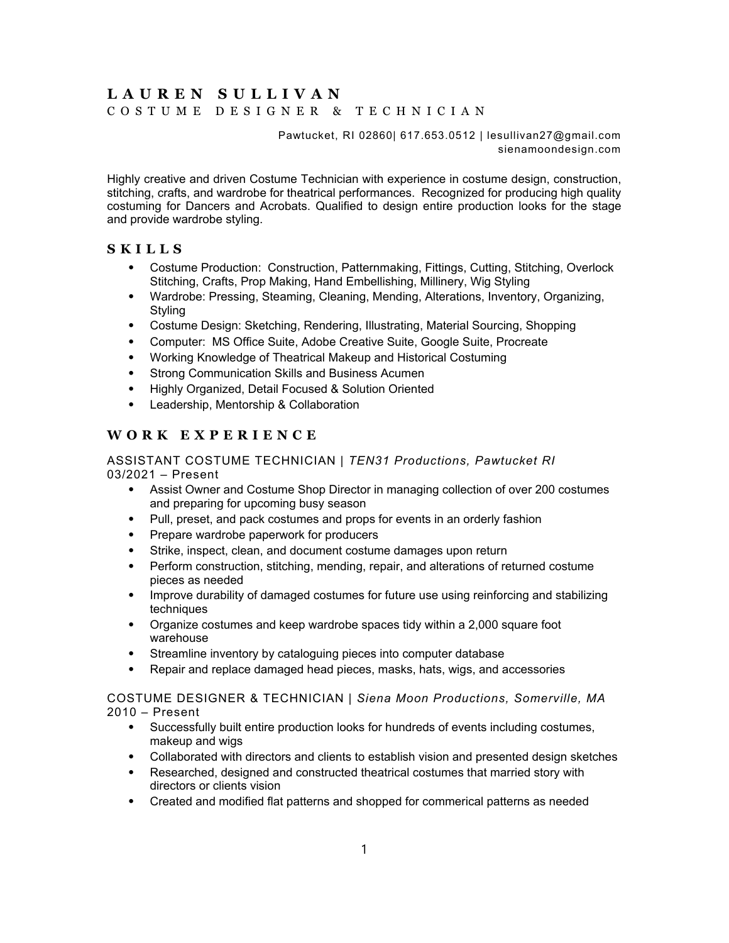# **LAUREN SULLIVAN**

COSTUME DESIGNER & TECHNICIAN

Pawtucket, RI 02860| 617.653.0512 | lesullivan27@gmail.com sienamoondesign.com

Highly creative and driven Costume Technician with experience in costume design, construction, stitching, crafts, and wardrobe for theatrical performances. Recognized for producing high quality costuming for Dancers and Acrobats. Qualified to design entire production looks for the stage and provide wardrobe styling.

## **SKILLS**

- ⦁ Costume Production: Construction, Patternmaking, Fittings, Cutting, Stitching, Overlock Stitching, Crafts, Prop Making, Hand Embellishing, Millinery, Wig Styling
- ⦁ Wardrobe: Pressing, Steaming, Cleaning, Mending, Alterations, Inventory, Organizing, Styling
- ⦁ Costume Design: Sketching, Rendering, Illustrating, Material Sourcing, Shopping
- ⦁ Computer: MS Office Suite, Adobe Creative Suite, Google Suite, Procreate
- ⦁ Working Knowledge of Theatrical Makeup and Historical Costuming
- ⦁ Strong Communication Skills and Business Acumen
- ⦁ Highly Organized, Detail Focused & Solution Oriented
- ⦁ Leadership, Mentorship & Collaboration

# **WORK EXPERIENCE**

#### ASSISTANT COSTUME TECHNICIAN | *TEN31 Productions, Pawtucket RI* 03/2021 – Present

- ⦁ Assist Owner and Costume Shop Director in managing collection of over 200 costumes and preparing for upcoming busy season
- Pull, preset, and pack costumes and props for events in an orderly fashion
- ⦁ Prepare wardrobe paperwork for producers
- ⦁ Strike, inspect, clean, and document costume damages upon return
- ⦁ Perform construction, stitching, mending, repair, and alterations of returned costume pieces as needed
- ⦁ Improve durability of damaged costumes for future use using reinforcing and stabilizing techniques
- ⦁ Organize costumes and keep wardrobe spaces tidy within a 2,000 square foot warehouse
- Streamline inventory by cataloguing pieces into computer database
- ⦁ Repair and replace damaged head pieces, masks, hats, wigs, and accessories

COSTUME DESIGNER & TECHNICIAN | *Siena Moon Productions, Somerville, MA* 2010 – Present

- ⦁ Successfully built entire production looks for hundreds of events including costumes, makeup and wigs
- ⦁ Collaborated with directors and clients to establish vision and presented design sketches
- ⦁ Researched, designed and constructed theatrical costumes that married story with directors or clients vision
- ⦁ Created and modified flat patterns and shopped for commerical patterns as needed